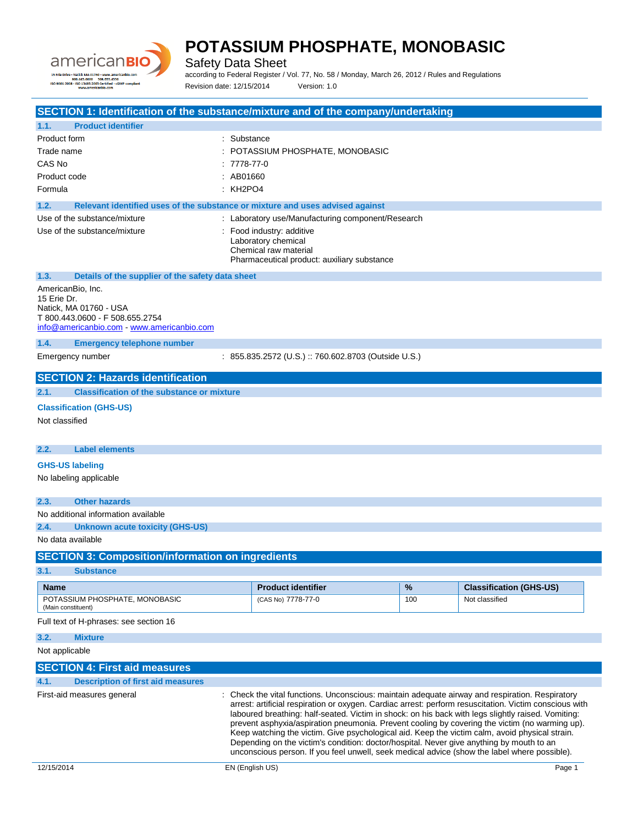

Safety Data Sheet

according to Federal Register / Vol. 77, No. 58 / Monday, March 26, 2012 / Rules and Regulations Revision date: 12/15/2014 Version: 1.0

**SECTION 1: Identification of the substance/mixture and of the company/undertaking 1.1. Product identifier** Product form : Substance Trade name  $\qquad \qquad : \qquad \qquad$  POTASSIUM PHOSPHATE, MONOBASIC CAS No : 7778-77-0 Product code : AB01660 Formula : KH2PO4 **1.2. Relevant identified uses of the substance or mixture and uses advised against** Use of the substance/mixture  $\qquad \qquad :$  Laboratory use/Manufacturing component/Research Use of the substance/mixture : Food industry: additive Laboratory chemical Chemical raw material Pharmaceutical product: auxiliary substance **1.3. Details of the supplier of the safety data sheet** AmericanBio, Inc. 15 Erie Dr. Natick, MA 01760 - USA T 800.443.0600 - F 508.655.2754 [info@americanbio.com](mailto:info@americanbio.com) - <www.americanbio.com> **1.4. Emergency telephone number** Emergency number : 855.835.2572 (U.S.) :: 760.602.8703 (Outside U.S.) **SECTION 2: Hazards identification 2.1. Classification of the substance or mixture Classification (GHS-US)** Not classified **2.2. Label elements GHS-US labeling** No labeling applicable **2.3. Other hazards** No additional information available **2.4. Unknown acute toxicity (GHS-US)** No data available **SECTION 3: Composition/information on ingredients 3.1. Substance Name Product identifier % Classification (GHS-US)** POTASSIUM PHOSPHATE, MONOBASIC (Main constituent) (CAS No) 7778-77-0 100 100 Not classified Full text of H-phrases: see section 16 **3.2. Mixture** Not applicable **SECTION 4: First aid measures 4.1. Description of first aid measures** First-aid measures general **interpretatal interview** : Check the vital functions. Unconscious: maintain adequate airway and respiration. Respiratory arrest: artificial respiration or oxygen. Cardiac arrest: perform resuscitation. Victim conscious with laboured breathing: half-seated. Victim in shock: on his back with legs slightly raised. Vomiting: prevent asphyxia/aspiration pneumonia. Prevent cooling by covering the victim (no warming up). Keep watching the victim. Give psychological aid. Keep the victim calm, avoid physical strain. Depending on the victim's condition: doctor/hospital. Never give anything by mouth to an unconscious person. If you feel unwell, seek medical advice (show the label where possible).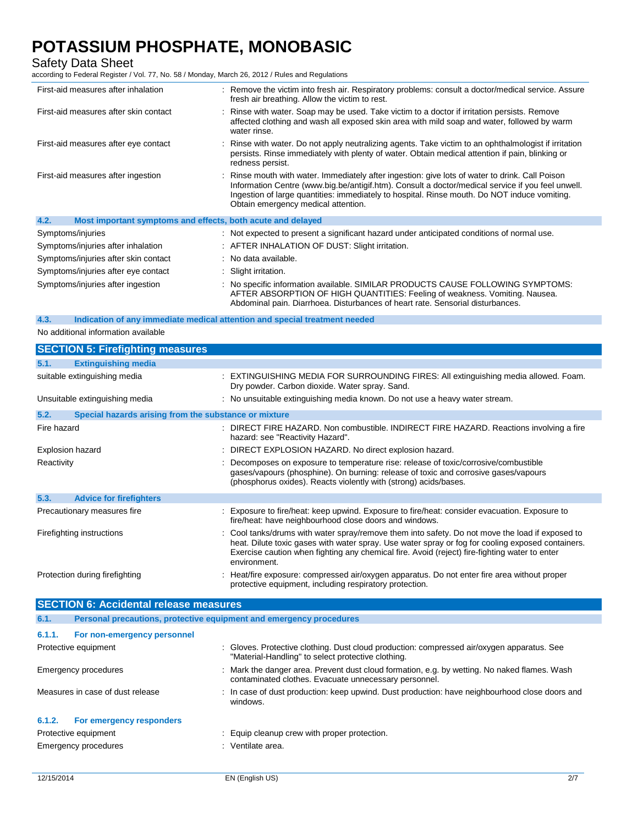Safety Data Sheet

according to Federal Register / Vol. 77, No. 58 / Monday, March 26, 2012 / Rules and Regulations

| First-aid measures after inhalation                                 | : Remove the victim into fresh air. Respiratory problems: consult a doctor/medical service. Assure<br>fresh air breathing. Allow the victim to rest.                                                                                                                                                                                        |
|---------------------------------------------------------------------|---------------------------------------------------------------------------------------------------------------------------------------------------------------------------------------------------------------------------------------------------------------------------------------------------------------------------------------------|
| First-aid measures after skin contact                               | : Rinse with water. Soap may be used. Take victim to a doctor if irritation persists. Remove<br>affected clothing and wash all exposed skin area with mild soap and water, followed by warm<br>water rinse.                                                                                                                                 |
| First-aid measures after eye contact                                | : Rinse with water. Do not apply neutralizing agents. Take victim to an ophthalmologist if irritation<br>persists. Rinse immediately with plenty of water. Obtain medical attention if pain, blinking or<br>redness persist.                                                                                                                |
| First-aid measures after ingestion                                  | : Rinse mouth with water. Immediately after ingestion: give lots of water to drink. Call Poison<br>Information Centre (www.big.be/antigif.htm). Consult a doctor/medical service if you feel unwell.<br>Ingestion of large quantities: immediately to hospital. Rinse mouth. Do NOT induce vomiting.<br>Obtain emergency medical attention. |
| 4.2.<br>Most important symptoms and effects, both acute and delayed |                                                                                                                                                                                                                                                                                                                                             |
| Symptoms/injuries                                                   | : Not expected to present a significant hazard under anticipated conditions of normal use.                                                                                                                                                                                                                                                  |
| Symptoms/injuries after inhalation                                  | : AFTER INHALATION OF DUST: Slight irritation.                                                                                                                                                                                                                                                                                              |
| Symptoms/injuries after skin contact                                | : No data available.                                                                                                                                                                                                                                                                                                                        |
| Symptoms/injuries after eye contact                                 | : Slight irritation.                                                                                                                                                                                                                                                                                                                        |
| Symptoms/injuries after ingestion                                   | : No specific information available. SIMILAR PRODUCTS CAUSE FOLLOWING SYMPTOMS:<br>AFTER ABSORPTION OF HIGH QUANTITIES: Feeling of weakness. Vomiting. Nausea.                                                                                                                                                                              |

Abdominal pain. Diarrhoea. Disturbances of heart rate. Sensorial disturbances.

#### **4.3. Indication of any immediate medical attention and special treatment needed**

No additional information available

| <b>SECTION 5: Firefighting measures</b>                       |                                                                                                                                                                                                                                                                                                                       |
|---------------------------------------------------------------|-----------------------------------------------------------------------------------------------------------------------------------------------------------------------------------------------------------------------------------------------------------------------------------------------------------------------|
| 5.1.<br><b>Extinguishing media</b>                            |                                                                                                                                                                                                                                                                                                                       |
| suitable extinguishing media                                  | : EXTINGUISHING MEDIA FOR SURROUNDING FIRES: All extinguishing media allowed. Foam.<br>Dry powder. Carbon dioxide. Water spray. Sand.                                                                                                                                                                                 |
| Unsuitable extinguishing media                                | : No unsuitable extinguishing media known. Do not use a heavy water stream.                                                                                                                                                                                                                                           |
| 5.2.<br>Special hazards arising from the substance or mixture |                                                                                                                                                                                                                                                                                                                       |
| Fire hazard                                                   | : DIRECT FIRE HAZARD. Non combustible. INDIRECT FIRE HAZARD. Reactions involving a fire<br>hazard: see "Reactivity Hazard".                                                                                                                                                                                           |
| Explosion hazard                                              | : DIRECT EXPLOSION HAZARD. No direct explosion hazard.                                                                                                                                                                                                                                                                |
| Reactivity                                                    | : Decomposes on exposure to temperature rise: release of toxic/corrosive/combustible<br>gases/vapours (phosphine). On burning: release of toxic and corrosive gases/vapours<br>(phosphorus oxides). Reacts violently with (strong) acids/bases.                                                                       |
| 5.3.<br><b>Advice for firefighters</b>                        |                                                                                                                                                                                                                                                                                                                       |
| Precautionary measures fire                                   | : Exposure to fire/heat: keep upwind. Exposure to fire/heat: consider evacuation. Exposure to<br>fire/heat: have neighbourhood close doors and windows.                                                                                                                                                               |
| Firefighting instructions                                     | : Cool tanks/drums with water spray/remove them into safety. Do not move the load if exposed to<br>heat. Dilute toxic gases with water spray. Use water spray or fog for cooling exposed containers.<br>Exercise caution when fighting any chemical fire. Avoid (reject) fire-fighting water to enter<br>environment. |
| Protection during firefighting                                | : Heat/fire exposure: compressed air/oxygen apparatus. Do not enter fire area without proper<br>protective equipment, including respiratory protection.                                                                                                                                                               |

| <b>SECTION 6: Accidental release measures</b> |                                                                                                                                                       |  |
|-----------------------------------------------|-------------------------------------------------------------------------------------------------------------------------------------------------------|--|
|                                               | Personal precautions, protective equipment and emergency procedures                                                                                   |  |
| For non-emergency personnel                   |                                                                                                                                                       |  |
|                                               | : Gloves. Protective clothing. Dust cloud production: compressed air/oxygen apparatus. See<br>"Material-Handling" to select protective clothing.      |  |
|                                               | : Mark the danger area. Prevent dust cloud formation, e.g. by wetting. No naked flames. Wash<br>contaminated clothes. Evacuate unnecessary personnel. |  |
|                                               | : In case of dust production: keep upwind. Dust production: have neighbourhood close doors and<br>windows.                                            |  |
| For emergency responders                      |                                                                                                                                                       |  |
|                                               | : Equip cleanup crew with proper protection.                                                                                                          |  |
|                                               | Ventilate area.                                                                                                                                       |  |
|                                               | Protective equipment<br>Emergency procedures<br>Measures in case of dust release<br>Protective equipment<br><b>Emergency procedures</b>               |  |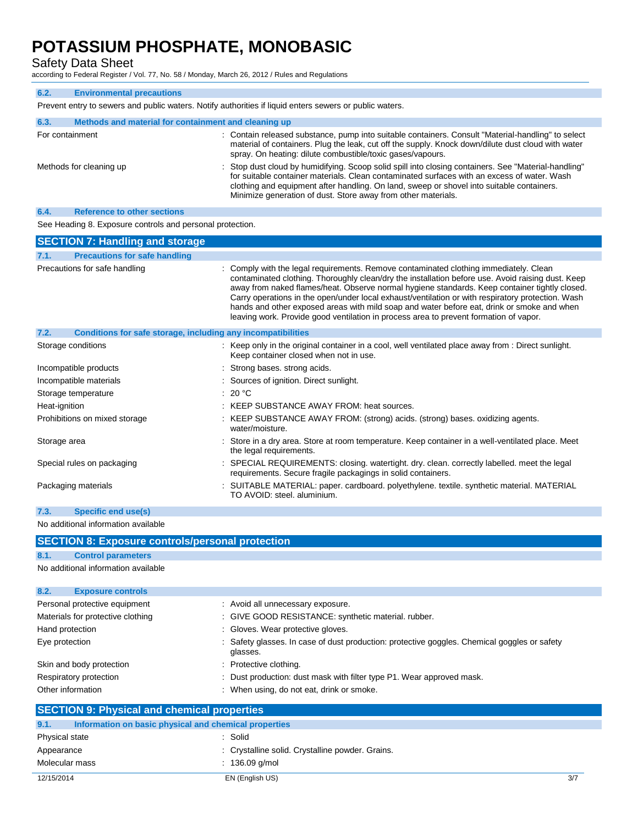Safety Data Sheet

according to Federal Register / Vol. 77, No. 58 / Monday, March 26, 2012 / Rules and Regulations

| 6.2.                                                                                                    | <b>Environmental precautions</b>                     |                                                                                                                                                                                                                                                                                                                                                                   |
|---------------------------------------------------------------------------------------------------------|------------------------------------------------------|-------------------------------------------------------------------------------------------------------------------------------------------------------------------------------------------------------------------------------------------------------------------------------------------------------------------------------------------------------------------|
| Prevent entry to sewers and public waters. Notify authorities if liquid enters sewers or public waters. |                                                      |                                                                                                                                                                                                                                                                                                                                                                   |
| 6.3.                                                                                                    | Methods and material for containment and cleaning up |                                                                                                                                                                                                                                                                                                                                                                   |
| For containment                                                                                         |                                                      | : Contain released substance, pump into suitable containers. Consult "Material-handling" to select<br>material of containers. Plug the leak, cut off the supply. Knock down/dilute dust cloud with water<br>spray. On heating: dilute combustible/toxic gases/vapours.                                                                                            |
|                                                                                                         | Methods for cleaning up                              | : Stop dust cloud by humidifying. Scoop solid spill into closing containers. See "Material-handling"<br>for suitable container materials. Clean contaminated surfaces with an excess of water. Wash<br>clothing and equipment after handling. On land, sweep or shovel into suitable containers.<br>Minimize generation of dust. Store away from other materials. |
| 6.4.                                                                                                    | <b>Reference to other sections</b>                   |                                                                                                                                                                                                                                                                                                                                                                   |

See Heading 8. Exposure controls and personal protection.

| <b>SECTION 7: Handling and storage</b>                               |                                                                                                                                                                                                                                                                                                                                                                                                                                                                                                                                                                                         |
|----------------------------------------------------------------------|-----------------------------------------------------------------------------------------------------------------------------------------------------------------------------------------------------------------------------------------------------------------------------------------------------------------------------------------------------------------------------------------------------------------------------------------------------------------------------------------------------------------------------------------------------------------------------------------|
| 7.1.<br><b>Precautions for safe handling</b>                         |                                                                                                                                                                                                                                                                                                                                                                                                                                                                                                                                                                                         |
| Precautions for safe handling                                        | : Comply with the legal requirements. Remove contaminated clothing immediately. Clean<br>contaminated clothing. Thoroughly clean/dry the installation before use. Avoid raising dust. Keep<br>away from naked flames/heat. Observe normal hygiene standards. Keep container tightly closed.<br>Carry operations in the open/under local exhaust/ventilation or with respiratory protection. Wash<br>hands and other exposed areas with mild soap and water before eat, drink or smoke and when<br>leaving work. Provide good ventilation in process area to prevent formation of vapor. |
| Conditions for safe storage, including any incompatibilities<br>7.2. |                                                                                                                                                                                                                                                                                                                                                                                                                                                                                                                                                                                         |
| Storage conditions                                                   | : Keep only in the original container in a cool, well ventilated place away from : Direct sunlight.<br>Keep container closed when not in use.                                                                                                                                                                                                                                                                                                                                                                                                                                           |
| Incompatible products                                                | : Strong bases, strong acids.                                                                                                                                                                                                                                                                                                                                                                                                                                                                                                                                                           |
| Incompatible materials                                               | : Sources of ignition. Direct sunlight.                                                                                                                                                                                                                                                                                                                                                                                                                                                                                                                                                 |
| Storage temperature                                                  | : 20 °C                                                                                                                                                                                                                                                                                                                                                                                                                                                                                                                                                                                 |
| Heat-ignition                                                        | : KEEP SUBSTANCE AWAY FROM: heat sources.                                                                                                                                                                                                                                                                                                                                                                                                                                                                                                                                               |
| Prohibitions on mixed storage                                        | : KEEP SUBSTANCE AWAY FROM: (strong) acids. (strong) bases. oxidizing agents.<br>water/moisture.                                                                                                                                                                                                                                                                                                                                                                                                                                                                                        |
| Storage area                                                         | : Store in a dry area. Store at room temperature. Keep container in a well-ventilated place. Meet<br>the legal requirements.                                                                                                                                                                                                                                                                                                                                                                                                                                                            |
| Special rules on packaging                                           | : SPECIAL REQUIREMENTS: closing. watertight. dry. clean. correctly labelled. meet the legal<br>requirements. Secure fragile packagings in solid containers.                                                                                                                                                                                                                                                                                                                                                                                                                             |
| Packaging materials                                                  | : SUITABLE MATERIAL: paper. cardboard. polyethylene. textile. synthetic material. MATERIAL<br>TO AVOID: steel, aluminium.                                                                                                                                                                                                                                                                                                                                                                                                                                                               |
| 7.3.<br>Specific end use(s)                                          |                                                                                                                                                                                                                                                                                                                                                                                                                                                                                                                                                                                         |

No additional information available

| <b>SECTION 8: Exposure controls/personal protection</b> |  |                                                                                                          |
|---------------------------------------------------------|--|----------------------------------------------------------------------------------------------------------|
| 8.1.<br><b>Control parameters</b>                       |  |                                                                                                          |
| No additional information available                     |  |                                                                                                          |
|                                                         |  |                                                                                                          |
| 8.2.<br><b>Exposure controls</b>                        |  |                                                                                                          |
| Personal protective equipment                           |  | : Avoid all unnecessary exposure.                                                                        |
| Materials for protective clothing                       |  | : GIVE GOOD RESISTANCE: synthetic material. rubber.                                                      |
| Hand protection                                         |  | : Gloves. Wear protective gloves.                                                                        |
| Eye protection                                          |  | : Safety glasses. In case of dust production: protective goggles. Chemical goggles or safety<br>glasses. |
| Skin and body protection                                |  | : Protective clothing.                                                                                   |
| Respiratory protection                                  |  | : Dust production: dust mask with filter type P1. Wear approved mask.                                    |
| Other information                                       |  | : When using, do not eat, drink or smoke.                                                                |
| <b>SECTION 9: Physical and chemical properties</b>      |  |                                                                                                          |

|                | <b>PULOTION 9. FIFFOLIO AND CHUMBOAT DI OPULIUS</b>   |                                                  |     |
|----------------|-------------------------------------------------------|--------------------------------------------------|-----|
| 9.1.           | Information on basic physical and chemical properties |                                                  |     |
| Physical state |                                                       | : Solid                                          |     |
| Appearance     |                                                       | : Crystalline solid. Crystalline powder. Grains. |     |
| Molecular mass |                                                       | $: 136.09$ q/mol                                 |     |
| 12/15/2014     |                                                       | EN (English US)                                  | 3/7 |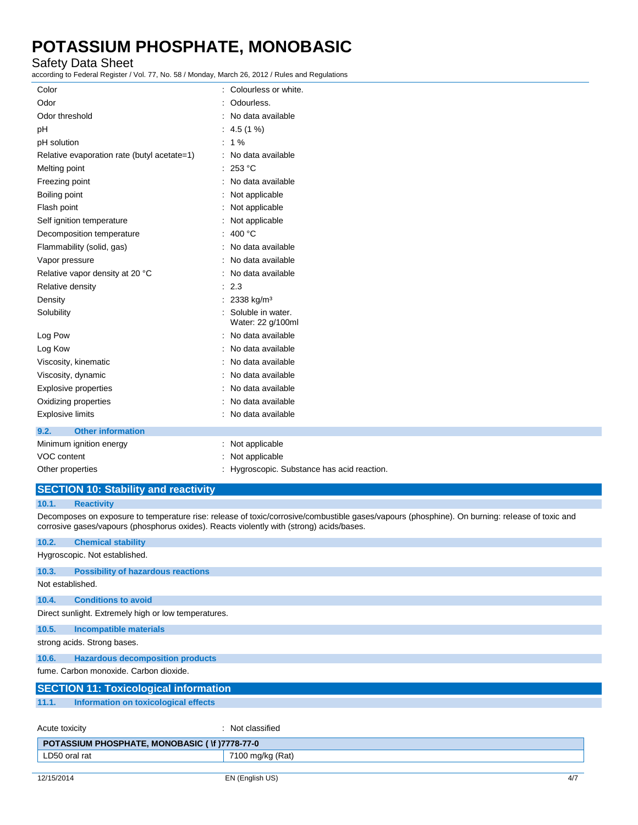### Safety Data Sheet

according to Federal Register / Vol. 77, No. 58 / Monday, March 26, 2012 / Rules and Regulations

| Color                                       | Colourless or white.                      |
|---------------------------------------------|-------------------------------------------|
| Odor                                        | Odourless.                                |
| Odor threshold                              | No data available                         |
| рH                                          | $: 4.5(1\%)$                              |
| pH solution                                 | $: 1\%$                                   |
| Relative evaporation rate (butyl acetate=1) | : No data available                       |
| Melting point                               | : 253 °C                                  |
| Freezing point                              | : No data available                       |
| Boiling point                               | Not applicable                            |
| Flash point                                 | Not applicable                            |
| Self ignition temperature                   | Not applicable                            |
| Decomposition temperature                   | 400 °C                                    |
| Flammability (solid, gas)                   | No data available                         |
| Vapor pressure                              | No data available                         |
| Relative vapor density at 20 °C             | No data available                         |
| Relative density                            | 2.3                                       |
| Density                                     | 2338 kg/m <sup>3</sup>                    |
| Solubility                                  | Soluble in water.<br>Water: 22 g/100ml    |
| Log Pow                                     | No data available                         |
| Log Kow                                     | No data available                         |
| Viscosity, kinematic                        | No data available                         |
| Viscosity, dynamic                          | No data available                         |
| <b>Explosive properties</b>                 | No data available                         |
| Oxidizing properties                        | No data available                         |
| <b>Explosive limits</b>                     | No data available                         |
| <b>Other information</b><br>9.2.            |                                           |
| Minimum ignition energy                     | Not applicable                            |
| <b>VOC content</b>                          | Not applicable                            |
| Other properties                            | Hygroscopic. Substance has acid reaction. |

### **SECTION 10: Stability and reactivity**

#### **10.1. Reactivity**

Decomposes on exposure to temperature rise: release of toxic/corrosive/combustible gases/vapours (phosphine). On burning: release of toxic and corrosive gases/vapours (phosphorus oxides). Reacts violently with (strong) acids/bases.

| 10.2.                                                | <b>Chemical stability</b>                 |                  |  |
|------------------------------------------------------|-------------------------------------------|------------------|--|
|                                                      | Hygroscopic. Not established.             |                  |  |
| 10.3.                                                | <b>Possibility of hazardous reactions</b> |                  |  |
| Not established.                                     |                                           |                  |  |
| 10.4.                                                | <b>Conditions to avoid</b>                |                  |  |
| Direct sunlight. Extremely high or low temperatures. |                                           |                  |  |
| 10.5.                                                | <b>Incompatible materials</b>             |                  |  |
| strong acids. Strong bases.                          |                                           |                  |  |
| 10.6.                                                | <b>Hazardous decomposition products</b>   |                  |  |
| fume. Carbon monoxide. Carbon dioxide.               |                                           |                  |  |
| <b>SECTION 11: Toxicological information</b>         |                                           |                  |  |
| 11.1.                                                | Information on toxicological effects      |                  |  |
| Acute toxicity                                       |                                           | : Not classified |  |
| POTASSIUM PHOSPHATE, MONOBASIC (\f)7778-77-0         |                                           |                  |  |
|                                                      | LD50 oral rat<br>7100 mg/kg (Rat)         |                  |  |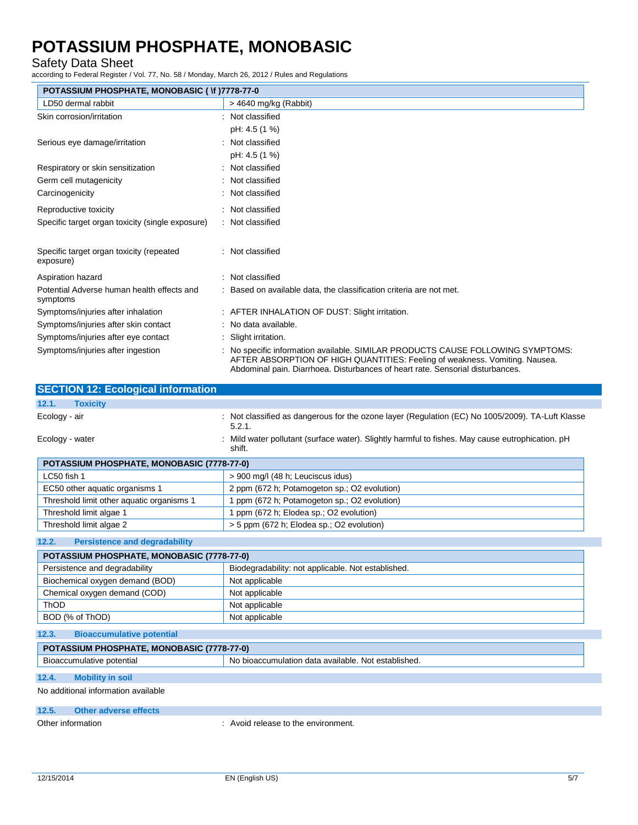### Safety Data Sheet

according to Federal Register / Vol. 77, No. 58 / Monday, March 26, 2012 / Rules and Regulations

| POTASSIUM PHOSPHATE, MONOBASIC ( \f )7778-77-0         |                                                                                                                                                                                                                                                  |  |
|--------------------------------------------------------|--------------------------------------------------------------------------------------------------------------------------------------------------------------------------------------------------------------------------------------------------|--|
| LD50 dermal rabbit                                     | $>$ 4640 mg/kg (Rabbit)                                                                                                                                                                                                                          |  |
| Skin corrosion/irritation                              | : Not classified                                                                                                                                                                                                                                 |  |
|                                                        | pH: 4.5 (1 %)                                                                                                                                                                                                                                    |  |
| Serious eye damage/irritation                          | : Not classified                                                                                                                                                                                                                                 |  |
|                                                        | pH: 4.5 (1 %)                                                                                                                                                                                                                                    |  |
| Respiratory or skin sensitization                      | : Not classified                                                                                                                                                                                                                                 |  |
| Germ cell mutagenicity                                 | : Not classified                                                                                                                                                                                                                                 |  |
| Carcinogenicity                                        | : Not classified                                                                                                                                                                                                                                 |  |
| Reproductive toxicity                                  | : Not classified                                                                                                                                                                                                                                 |  |
| Specific target organ toxicity (single exposure)       | : Not classified                                                                                                                                                                                                                                 |  |
| Specific target organ toxicity (repeated<br>exposure)  | : Not classified                                                                                                                                                                                                                                 |  |
| Aspiration hazard                                      | : Not classified                                                                                                                                                                                                                                 |  |
| Potential Adverse human health effects and<br>symptoms | : Based on available data, the classification criteria are not met.                                                                                                                                                                              |  |
| Symptoms/injuries after inhalation                     | : AFTER INHALATION OF DUST: Slight irritation.                                                                                                                                                                                                   |  |
| Symptoms/injuries after skin contact                   | : No data available.                                                                                                                                                                                                                             |  |
| Symptoms/injuries after eye contact                    | : Slight irritation.                                                                                                                                                                                                                             |  |
| Symptoms/injuries after ingestion                      | : No specific information available. SIMILAR PRODUCTS CAUSE FOLLOWING SYMPTOMS:<br>AFTER ABSORPTION OF HIGH QUANTITIES: Feeling of weakness. Vomiting. Nausea.<br>Abdominal pain. Diarrhoea. Disturbances of heart rate. Sensorial disturbances. |  |

| <b>SECTION 12: Ecological information</b>         |                                                                                                            |
|---------------------------------------------------|------------------------------------------------------------------------------------------------------------|
| 12.1.<br><b>Toxicity</b>                          |                                                                                                            |
| Ecology - air                                     | : Not classified as dangerous for the ozone layer (Regulation (EC) No 1005/2009). TA-Luft Klasse<br>5.2.1. |
| Ecology - water                                   | Mild water pollutant (surface water). Slightly harmful to fishes. May cause eutrophication. pH<br>shift.   |
| <b>POTASSIUM PHOSPHATE, MONOBASIC (7778-77-0)</b> |                                                                                                            |

| LC50 fish 1                               | > 900 mg/l (48 h; Leuciscus idus)            |
|-------------------------------------------|----------------------------------------------|
| EC50 other aquatic organisms 1            | 2 ppm (672 h; Potamogeton sp.; O2 evolution) |
| Threshold limit other aquatic organisms 1 | 1 ppm (672 h; Potamogeton sp.; O2 evolution) |
| Threshold limit algae 1                   | 1 ppm (672 h; Elodea sp.; O2 evolution)      |
| Threshold limit algae 2                   | > 5 ppm (672 h; Elodea sp.; O2 evolution)    |

#### **12.2. Persistence and degradability**

| POTASSIUM PHOSPHATE, MONOBASIC (7778-77-0)       |                                                    |  |
|--------------------------------------------------|----------------------------------------------------|--|
| Persistence and degradability                    | Biodegradability: not applicable. Not established. |  |
| Biochemical oxygen demand (BOD)                  | Not applicable                                     |  |
| Chemical oxygen demand (COD)                     | Not applicable                                     |  |
| ThOD                                             | Not applicable                                     |  |
| BOD (% of ThOD)                                  | Not applicable                                     |  |
| 12.3.<br><b>Bioaccumulative potential</b>        |                                                    |  |
| <b>DOTACCIUM DUOCDUATE MONORACIC (7779-77-0)</b> |                                                    |  |

| POTASSIUM PHOSPHATE, MONOBASIC (7778-7) |                                                                  |  |
|-----------------------------------------|------------------------------------------------------------------|--|
| Bioaccumulative potential               | No<br>Not established.<br>ı data available.<br>, bioaccumulation |  |
|                                         |                                                                  |  |

### **12.4. Mobility in soil**

No additional information available

#### **12.5. Other adverse effects**

Other information **contact to the environment.** The environment of the environment.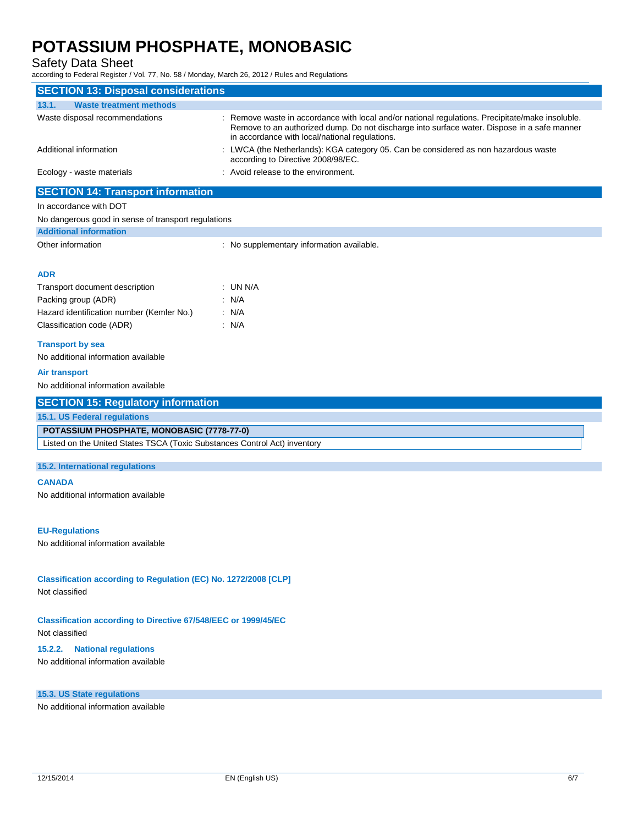Safety Data Sheet

according to Federal Register / Vol. 77, No. 58 / Monday, March 26, 2012 / Rules and Regulations

| <b>SECTION 13: Disposal considerations</b>                                |                                                                                                                                                                                                                                                 |
|---------------------------------------------------------------------------|-------------------------------------------------------------------------------------------------------------------------------------------------------------------------------------------------------------------------------------------------|
| 13.1.<br><b>Waste treatment methods</b>                                   |                                                                                                                                                                                                                                                 |
| Waste disposal recommendations                                            | Remove waste in accordance with local and/or national regulations. Precipitate/make insoluble.<br>Remove to an authorized dump. Do not discharge into surface water. Dispose in a safe manner<br>in accordance with local/national regulations. |
| Additional information                                                    | LWCA (the Netherlands): KGA category 05. Can be considered as non hazardous waste<br>according to Directive 2008/98/EC.                                                                                                                         |
| Ecology - waste materials                                                 | : Avoid release to the environment.                                                                                                                                                                                                             |
| <b>SECTION 14: Transport information</b>                                  |                                                                                                                                                                                                                                                 |
| In accordance with DOT                                                    |                                                                                                                                                                                                                                                 |
| No dangerous good in sense of transport regulations                       |                                                                                                                                                                                                                                                 |
| <b>Additional information</b>                                             |                                                                                                                                                                                                                                                 |
| Other information                                                         | : No supplementary information available.                                                                                                                                                                                                       |
| <b>ADR</b>                                                                |                                                                                                                                                                                                                                                 |
| Transport document description                                            | ∶UN N/A                                                                                                                                                                                                                                         |
| Packing group (ADR)                                                       | : N/A                                                                                                                                                                                                                                           |
| Hazard identification number (Kemler No.)                                 | : N/A                                                                                                                                                                                                                                           |
| Classification code (ADR)                                                 | : N/A                                                                                                                                                                                                                                           |
| <b>Transport by sea</b>                                                   |                                                                                                                                                                                                                                                 |
| No additional information available                                       |                                                                                                                                                                                                                                                 |
| <b>Air transport</b>                                                      |                                                                                                                                                                                                                                                 |
| No additional information available                                       |                                                                                                                                                                                                                                                 |
| <b>SECTION 15: Regulatory information</b>                                 |                                                                                                                                                                                                                                                 |
| 15.1. US Federal regulations                                              |                                                                                                                                                                                                                                                 |
|                                                                           |                                                                                                                                                                                                                                                 |
| POTASSIUM PHOSPHATE, MONOBASIC (7778-77-0)                                |                                                                                                                                                                                                                                                 |
| Listed on the United States TSCA (Toxic Substances Control Act) inventory |                                                                                                                                                                                                                                                 |
| 15.2. International regulations                                           |                                                                                                                                                                                                                                                 |
| <b>CANADA</b>                                                             |                                                                                                                                                                                                                                                 |
| No additional information available                                       |                                                                                                                                                                                                                                                 |
|                                                                           |                                                                                                                                                                                                                                                 |
| <b>EU-Regulations</b>                                                     |                                                                                                                                                                                                                                                 |
| No additional information available                                       |                                                                                                                                                                                                                                                 |
|                                                                           |                                                                                                                                                                                                                                                 |
| Classification according to Regulation (EC) No. 1272/2008 [CLP]           |                                                                                                                                                                                                                                                 |
| Not classified                                                            |                                                                                                                                                                                                                                                 |
|                                                                           |                                                                                                                                                                                                                                                 |
| <b>Classification according to Directive 67/548/EEC or 1999/45/EC</b>     |                                                                                                                                                                                                                                                 |
| Not classified                                                            |                                                                                                                                                                                                                                                 |
| <b>National regulations</b><br>15.2.2.                                    |                                                                                                                                                                                                                                                 |
| No additional information available                                       |                                                                                                                                                                                                                                                 |
|                                                                           |                                                                                                                                                                                                                                                 |
| 15.3. US State regulations                                                |                                                                                                                                                                                                                                                 |
| No additional information available                                       |                                                                                                                                                                                                                                                 |